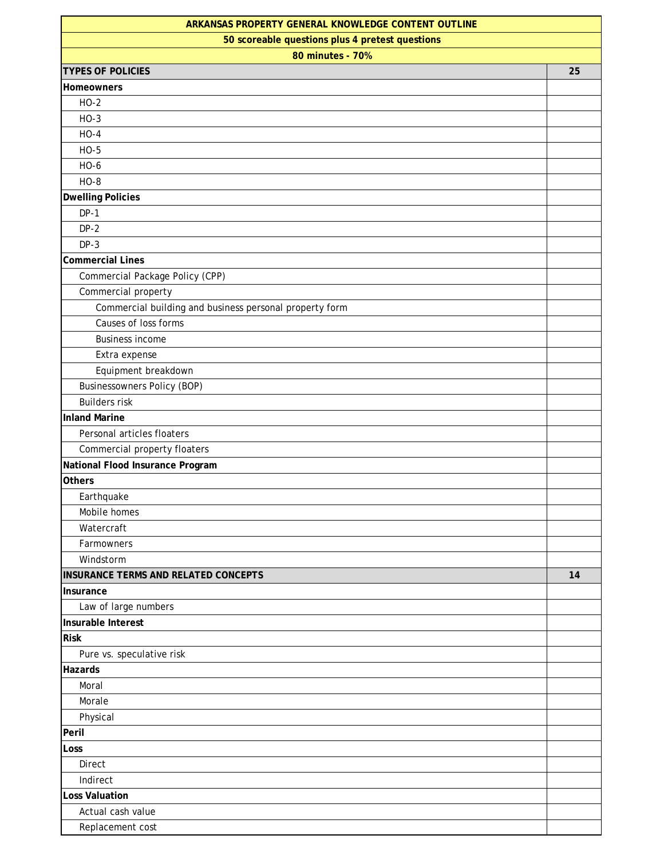| ARKANSAS PROPERTY GENERAL KNOWLEDGE CONTENT OUTLINE     |    |
|---------------------------------------------------------|----|
| 50 scoreable questions plus 4 pretest questions         |    |
| 80 minutes - 70%                                        |    |
| <b>TYPES OF POLICIES</b>                                | 25 |
| <b>Homeowners</b>                                       |    |
| $HO-2$                                                  |    |
| $HO-3$                                                  |    |
| $HO-4$                                                  |    |
| $HO-5$                                                  |    |
| HO-6                                                    |    |
| $HO-8$                                                  |    |
| <b>Dwelling Policies</b>                                |    |
| $DP-1$                                                  |    |
| $DP-2$                                                  |    |
| $DP-3$                                                  |    |
| <b>Commercial Lines</b>                                 |    |
| Commercial Package Policy (CPP)                         |    |
| Commercial property                                     |    |
| Commercial building and business personal property form |    |
| Causes of loss forms                                    |    |
| <b>Business income</b>                                  |    |
| Extra expense                                           |    |
| Equipment breakdown                                     |    |
| <b>Businessowners Policy (BOP)</b>                      |    |
| <b>Builders risk</b>                                    |    |
| <b>Inland Marine</b>                                    |    |
| Personal articles floaters                              |    |
| Commercial property floaters                            |    |
| National Flood Insurance Program                        |    |
| <b>Others</b>                                           |    |
| Earthquake                                              |    |
| Mobile homes                                            |    |
| Watercraft                                              |    |
| Farmowners                                              |    |
| Windstorm                                               |    |
| INSURANCE TERMS AND RELATED CONCEPTS                    | 14 |
| Insurance                                               |    |
| Law of large numbers                                    |    |
| Insurable Interest                                      |    |
| <b>Risk</b>                                             |    |
| Pure vs. speculative risk                               |    |
| Hazards                                                 |    |
| Moral                                                   |    |
| Morale                                                  |    |
| Physical                                                |    |
| Peril                                                   |    |
| Loss                                                    |    |
| Direct                                                  |    |
| Indirect                                                |    |
| <b>Loss Valuation</b>                                   |    |
| Actual cash value                                       |    |
| Replacement cost                                        |    |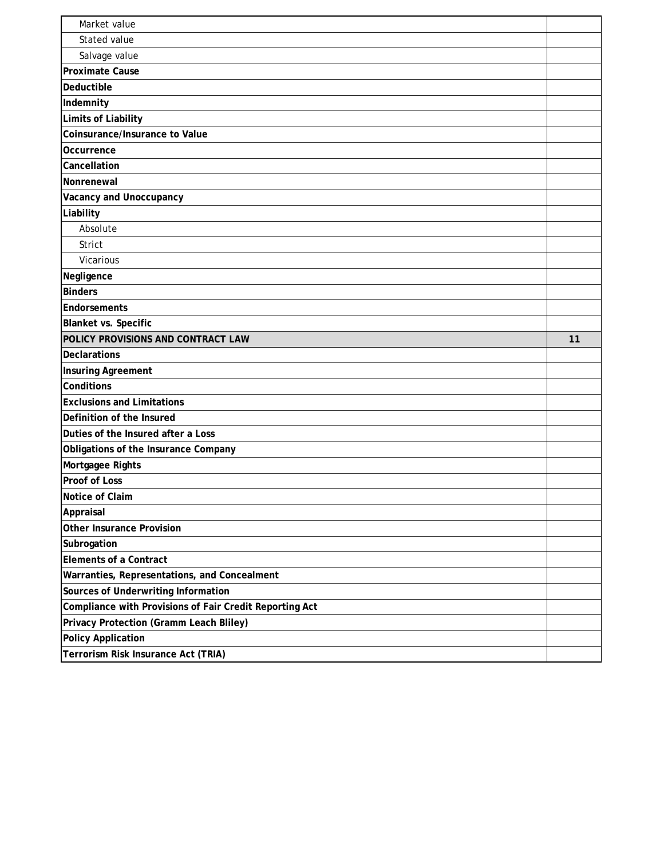| Market value                                                     |    |
|------------------------------------------------------------------|----|
| Stated value                                                     |    |
| Salvage value                                                    |    |
| <b>Proximate Cause</b>                                           |    |
| Deductible                                                       |    |
| Indemnity                                                        |    |
| Limits of Liability                                              |    |
| Coinsurance/Insurance to Value                                   |    |
| Occurrence                                                       |    |
| Cancellation                                                     |    |
| Nonrenewal                                                       |    |
| Vacancy and Unoccupancy                                          |    |
| Liability                                                        |    |
| Absolute                                                         |    |
| <b>Strict</b>                                                    |    |
| Vicarious                                                        |    |
| Negligence                                                       |    |
| <b>Binders</b>                                                   |    |
| Endorsements                                                     |    |
| Blanket vs. Specific                                             |    |
| POLICY PROVISIONS AND CONTRACT LAW                               | 11 |
|                                                                  |    |
| Declarations                                                     |    |
| <b>Insuring Agreement</b>                                        |    |
| Conditions                                                       |    |
| <b>Exclusions and Limitations</b>                                |    |
| Definition of the Insured                                        |    |
| Duties of the Insured after a Loss                               |    |
| Obligations of the Insurance Company                             |    |
| Mortgagee Rights                                                 |    |
| <b>Proof of Loss</b>                                             |    |
| Notice of Claim                                                  |    |
| Appraisal                                                        |    |
| Other Insurance Provision                                        |    |
| Subrogation                                                      |    |
| <b>Elements of a Contract</b>                                    |    |
| Warranties, Representations, and Concealment                     |    |
| Sources of Underwriting Information                              |    |
| Compliance with Provisions of Fair Credit Reporting Act          |    |
| Privacy Protection (Gramm Leach Bliley)                          |    |
| <b>Policy Application</b><br>Terrorism Risk Insurance Act (TRIA) |    |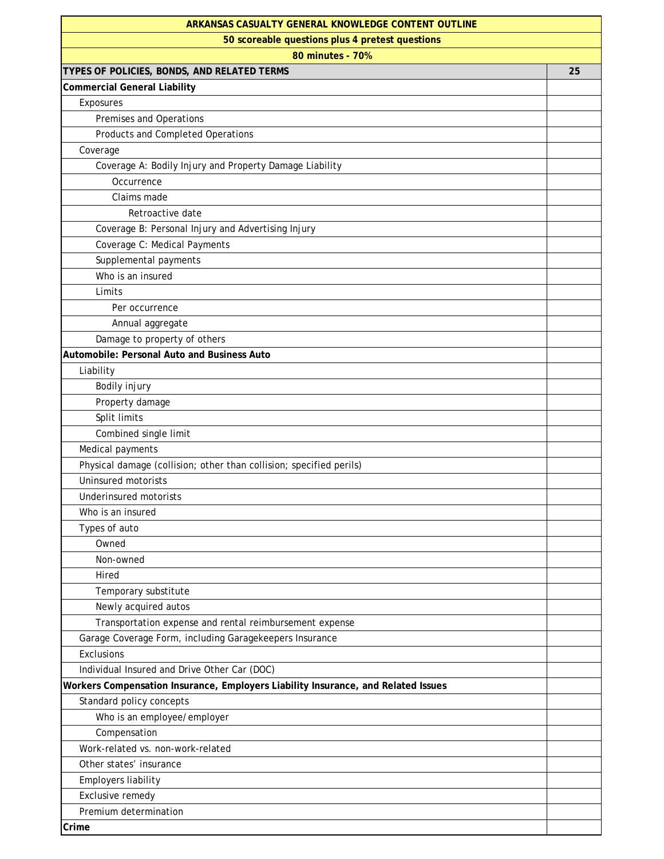| ARKANSAS CASUALTY GENERAL KNOWLEDGE CONTENT OUTLINE                               |    |
|-----------------------------------------------------------------------------------|----|
| 50 scoreable questions plus 4 pretest questions                                   |    |
| 80 minutes - 70%                                                                  |    |
| TYPES OF POLICIES, BONDS, AND RELATED TERMS                                       | 25 |
| <b>Commercial General Liability</b>                                               |    |
| Exposures                                                                         |    |
| Premises and Operations                                                           |    |
| Products and Completed Operations                                                 |    |
| Coverage                                                                          |    |
| Coverage A: Bodily Injury and Property Damage Liability                           |    |
| Occurrence                                                                        |    |
| Claims made                                                                       |    |
| Retroactive date                                                                  |    |
| Coverage B: Personal Injury and Advertising Injury                                |    |
| Coverage C: Medical Payments                                                      |    |
| Supplemental payments                                                             |    |
| Who is an insured                                                                 |    |
| Limits                                                                            |    |
| Per occurrence                                                                    |    |
| Annual aggregate                                                                  |    |
| Damage to property of others                                                      |    |
| Automobile: Personal Auto and Business Auto                                       |    |
| Liability                                                                         |    |
| Bodily injury                                                                     |    |
| Property damage                                                                   |    |
| Split limits                                                                      |    |
| Combined single limit                                                             |    |
| Medical payments                                                                  |    |
| Physical damage (collision; other than collision; specified perils)               |    |
| <b>Uninsured motorists</b>                                                        |    |
| Underinsured motorists                                                            |    |
| Who is an insured                                                                 |    |
| Types of auto                                                                     |    |
| Owned                                                                             |    |
| Non-owned                                                                         |    |
| Hired                                                                             |    |
| Temporary substitute                                                              |    |
| Newly acquired autos                                                              |    |
| Transportation expense and rental reimbursement expense                           |    |
| Garage Coverage Form, including Garagekeepers Insurance                           |    |
| Exclusions                                                                        |    |
| Individual Insured and Drive Other Car (DOC)                                      |    |
| Workers Compensation Insurance, Employers Liability Insurance, and Related Issues |    |
| Standard policy concepts                                                          |    |
| Who is an employee/employer                                                       |    |
| Compensation                                                                      |    |
| Work-related vs. non-work-related                                                 |    |
| Other states' insurance                                                           |    |
| <b>Employers liability</b>                                                        |    |
| Exclusive remedy                                                                  |    |
| Premium determination                                                             |    |
| Crime                                                                             |    |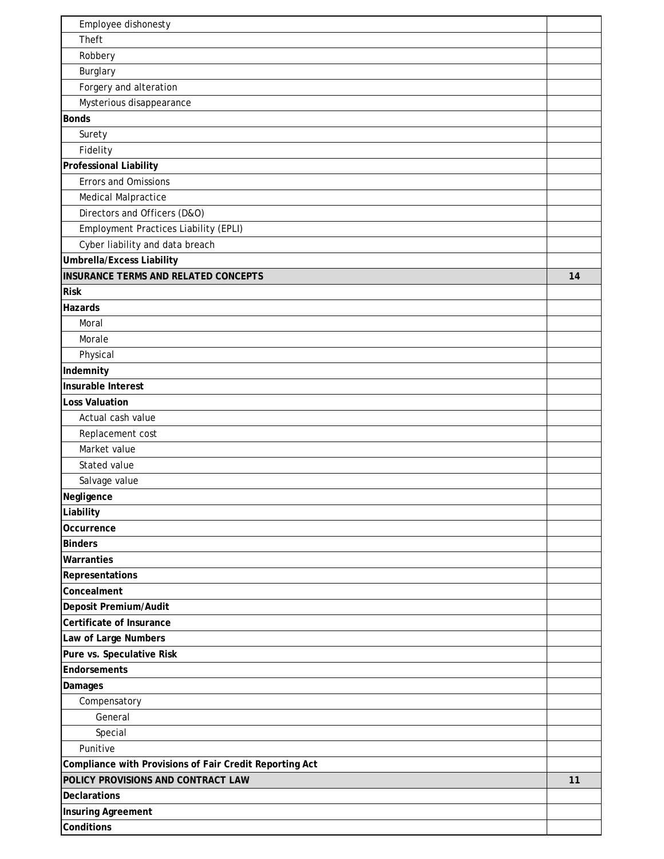| Employee dishonesty                                     |    |
|---------------------------------------------------------|----|
| Theft                                                   |    |
| Robbery                                                 |    |
| Burglary                                                |    |
| Forgery and alteration                                  |    |
| Mysterious disappearance                                |    |
| <b>Bonds</b>                                            |    |
| Surety                                                  |    |
| Fidelity                                                |    |
| Professional Liability                                  |    |
| <b>Errors and Omissions</b>                             |    |
| <b>Medical Malpractice</b>                              |    |
| Directors and Officers (D&O)                            |    |
| Employment Practices Liability (EPLI)                   |    |
| Cyber liability and data breach                         |    |
| <b>Umbrella/Excess Liability</b>                        |    |
| <b>INSURANCE TERMS AND RELATED CONCEPTS</b>             | 14 |
| <b>Risk</b>                                             |    |
| Hazards                                                 |    |
| Moral                                                   |    |
| Morale                                                  |    |
| Physical                                                |    |
| Indemnity                                               |    |
| Insurable Interest                                      |    |
| <b>Loss Valuation</b>                                   |    |
| Actual cash value                                       |    |
| Replacement cost                                        |    |
| Market value                                            |    |
| Stated value                                            |    |
| Salvage value                                           |    |
| Negligence                                              |    |
| Liability                                               |    |
| Occurrence                                              |    |
| <b>Binders</b>                                          |    |
| Warranties                                              |    |
| Representations                                         |    |
| Concealment                                             |    |
| Deposit Premium/Audit                                   |    |
| Certificate of Insurance                                |    |
| Law of Large Numbers                                    |    |
| Pure vs. Speculative Risk                               |    |
| Endorsements                                            |    |
| Damages                                                 |    |
| Compensatory                                            |    |
| General                                                 |    |
| Special                                                 |    |
| Punitive                                                |    |
| Compliance with Provisions of Fair Credit Reporting Act |    |
| POLICY PROVISIONS AND CONTRACT LAW                      | 11 |
| Declarations                                            |    |
| <b>Insuring Agreement</b>                               |    |
| Conditions                                              |    |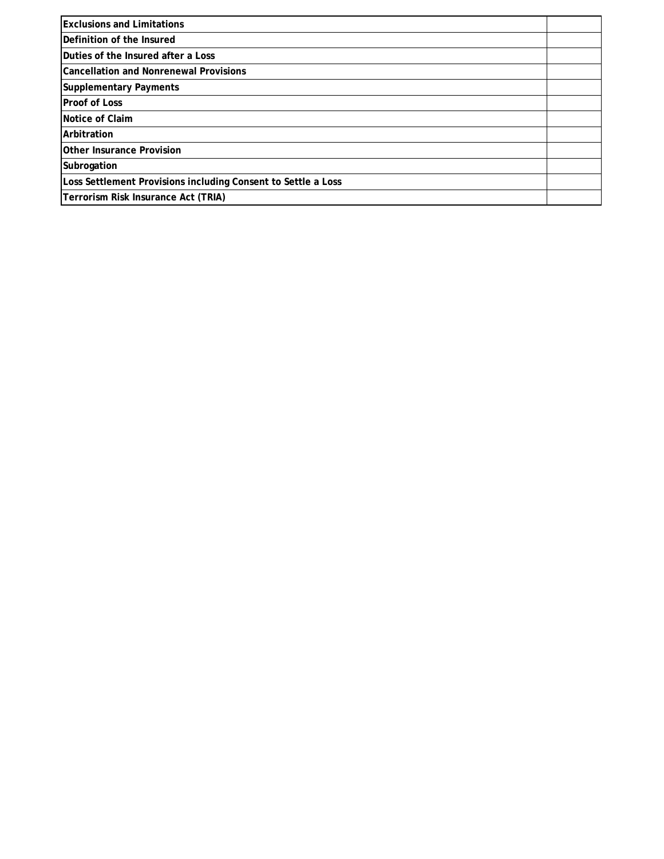| <b>Exclusions and Limitations</b>                             |  |
|---------------------------------------------------------------|--|
| <b>IDefinition of the Insured</b>                             |  |
| Duties of the Insured after a Loss                            |  |
| Cancellation and Nonrenewal Provisions                        |  |
| <b>Supplementary Payments</b>                                 |  |
| <b>Proof of Loss</b>                                          |  |
| Notice of Claim                                               |  |
| Arbitration                                                   |  |
| <b>Other Insurance Provision</b>                              |  |
| Subrogation                                                   |  |
| Loss Settlement Provisions including Consent to Settle a Loss |  |
| Terrorism Risk Insurance Act (TRIA)                           |  |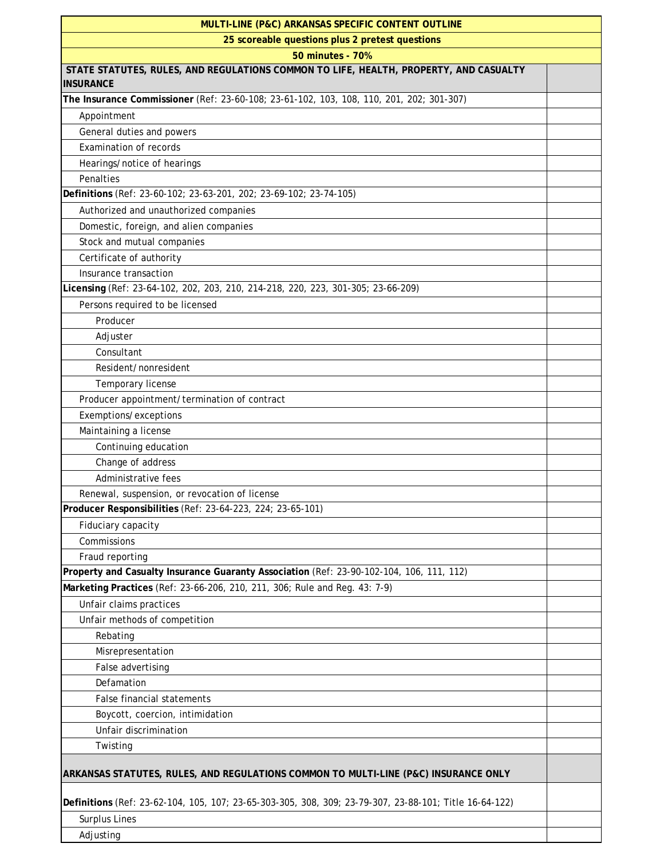| MULTI-LINE (P&C) ARKANSAS SPECIFIC CONTENT OUTLINE                                                     |  |  |
|--------------------------------------------------------------------------------------------------------|--|--|
| 25 scoreable questions plus 2 pretest questions                                                        |  |  |
| 50 minutes - 70%                                                                                       |  |  |
| STATE STATUTES, RULES, AND REGULATIONS COMMON TO LIFE, HEALTH, PROPERTY, AND CASUALTY                  |  |  |
| <b>INSURANCE</b>                                                                                       |  |  |
| The Insurance Commissioner (Ref: 23-60-108; 23-61-102, 103, 108, 110, 201, 202; 301-307)               |  |  |
| Appointment                                                                                            |  |  |
| General duties and powers                                                                              |  |  |
| <b>Examination of records</b>                                                                          |  |  |
| Hearings/notice of hearings                                                                            |  |  |
| Penalties                                                                                              |  |  |
| Definitions (Ref: 23-60-102; 23-63-201, 202; 23-69-102; 23-74-105)                                     |  |  |
| Authorized and unauthorized companies                                                                  |  |  |
| Domestic, foreign, and alien companies                                                                 |  |  |
| Stock and mutual companies                                                                             |  |  |
| Certificate of authority                                                                               |  |  |
| Insurance transaction                                                                                  |  |  |
| Licensing (Ref: 23-64-102, 202, 203, 210, 214-218, 220, 223, 301-305; 23-66-209)                       |  |  |
| Persons required to be licensed                                                                        |  |  |
| Producer                                                                                               |  |  |
| Adjuster                                                                                               |  |  |
| Consultant                                                                                             |  |  |
| Resident/nonresident                                                                                   |  |  |
| Temporary license                                                                                      |  |  |
| Producer appointment/termination of contract                                                           |  |  |
| Exemptions/exceptions                                                                                  |  |  |
| Maintaining a license                                                                                  |  |  |
| Continuing education                                                                                   |  |  |
| Change of address                                                                                      |  |  |
| Administrative fees                                                                                    |  |  |
| Renewal, suspension, or revocation of license                                                          |  |  |
| Producer Responsibilities (Ref: 23-64-223, 224; 23-65-101)                                             |  |  |
| Fiduciary capacity                                                                                     |  |  |
| Commissions                                                                                            |  |  |
| Fraud reporting                                                                                        |  |  |
| Property and Casualty Insurance Guaranty Association (Ref: 23-90-102-104, 106, 111, 112)               |  |  |
| Marketing Practices (Ref: 23-66-206, 210, 211, 306; Rule and Reg. 43: 7-9)                             |  |  |
| Unfair claims practices                                                                                |  |  |
| Unfair methods of competition                                                                          |  |  |
| Rebating                                                                                               |  |  |
| Misrepresentation                                                                                      |  |  |
| False advertising                                                                                      |  |  |
| Defamation                                                                                             |  |  |
| False financial statements                                                                             |  |  |
| Boycott, coercion, intimidation                                                                        |  |  |
| Unfair discrimination                                                                                  |  |  |
| Twisting                                                                                               |  |  |
| ARKANSAS STATUTES, RULES, AND REGULATIONS COMMON TO MULTI-LINE (P&C) INSURANCE ONLY                    |  |  |
| Definitions (Ref: 23-62-104, 105, 107; 23-65-303-305, 308, 309; 23-79-307, 23-88-101; Title 16-64-122) |  |  |
| <b>Surplus Lines</b>                                                                                   |  |  |
| Adjusting                                                                                              |  |  |